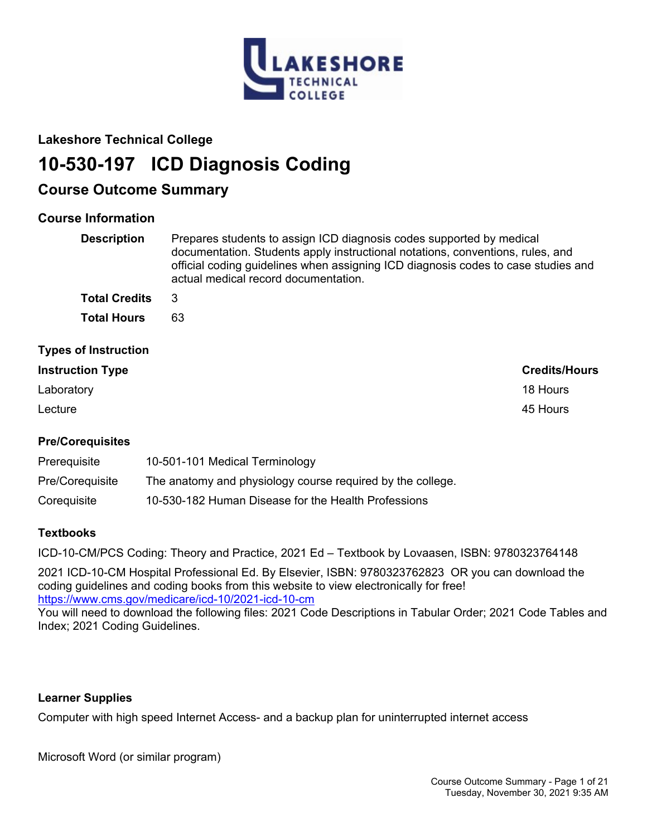

## **Lakeshore Technical College**

# **10-530-197 ICD Diagnosis Coding**

## **Course Outcome Summary**

## **Course Information**

| <b>Description</b>          | Prepares students to assign ICD diagnosis codes supported by medical<br>documentation. Students apply instructional notations, conventions, rules, and<br>official coding guidelines when assigning ICD diagnosis codes to case studies and<br>actual medical record documentation. |
|-----------------------------|-------------------------------------------------------------------------------------------------------------------------------------------------------------------------------------------------------------------------------------------------------------------------------------|
| <b>Total Credits</b>        | 3                                                                                                                                                                                                                                                                                   |
| <b>Total Hours</b>          | 63                                                                                                                                                                                                                                                                                  |
| <b>Types of Instruction</b> |                                                                                                                                                                                                                                                                                     |
| <b>Instruction Type</b>     | <b>Credits/Hours</b>                                                                                                                                                                                                                                                                |
| Laboratory                  | 18 Hours                                                                                                                                                                                                                                                                            |
| Lecture                     | 45 Hours                                                                                                                                                                                                                                                                            |

## **Pre/Corequisites**

| Prerequisite    | 10-501-101 Medical Terminology                             |
|-----------------|------------------------------------------------------------|
| Pre/Coreguisite | The anatomy and physiology course required by the college. |
| Corequisite     | 10-530-182 Human Disease for the Health Professions        |

## **Textbooks**

ICD-10-CM/PCS Coding: Theory and Practice, 2021 Ed – Textbook by Lovaasen, ISBN: 9780323764148

2021 ICD-10-CM Hospital Professional Ed. By Elsevier, ISBN: 9780323762823 OR you can download the coding guidelines and coding books from this website to view electronically for free! <https://www.cms.gov/medicare/icd-10/2021-icd-10-cm>

You will need to download the following files: 2021 Code Descriptions in Tabular Order; 2021 Code Tables and Index; 2021 Coding Guidelines.

## **Learner Supplies**

Computer with high speed Internet Access- and a backup plan for uninterrupted internet access

Microsoft Word (or similar program)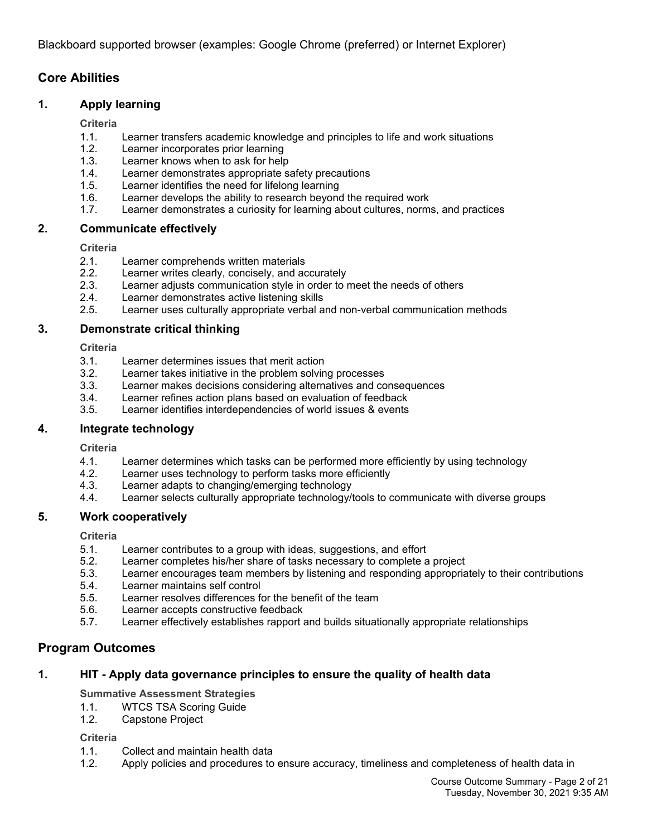Blackboard supported browser (examples: Google Chrome (preferred) or Internet Explorer)

## **Core Abilities**

## **1. Apply learning**

#### **Criteria**

- 1.1. Learner transfers academic knowledge and principles to life and work situations
- 1.2. Learner incorporates prior learning
- 1.3. Learner knows when to ask for help
- 1.4. Learner demonstrates appropriate safety precautions<br>1.5. Learner identifies the need for lifelong learning
- Learner identifies the need for lifelong learning
- 1.6. Learner develops the ability to research beyond the required work
- 1.7. Learner demonstrates a curiosity for learning about cultures, norms, and practices

#### **2. Communicate effectively**

#### **Criteria**

- 2.1. Learner comprehends written materials
- 2.2. Learner writes clearly, concisely, and accurately
- 2.3. Learner adjusts communication style in order to meet the needs of others
- 2.4. Learner demonstrates active listening skills
- 2.5. Learner uses culturally appropriate verbal and non-verbal communication methods

#### **3. Demonstrate critical thinking**

**Criteria**

- 3.1. Learner determines issues that merit action
- 3.2. Learner takes initiative in the problem solving processes
- 3.3. Learner makes decisions considering alternatives and consequences
- 3.4. Learner refines action plans based on evaluation of feedback
- 3.5. Learner identifies interdependencies of world issues & events

#### **4. Integrate technology**

**Criteria**

- 4.1. Learner determines which tasks can be performed more efficiently by using technology
- 4.2. Learner uses technology to perform tasks more efficiently
- 4.3. Learner adapts to changing/emerging technology
- 4.4. Learner selects culturally appropriate technology/tools to communicate with diverse groups

#### **5. Work cooperatively**

**Criteria**

- 5.1. Learner contributes to a group with ideas, suggestions, and effort
- 5.2. Learner completes his/her share of tasks necessary to complete a project
- 5.3. Learner encourages team members by listening and responding appropriately to their contributions
- 5.4. Learner maintains self control
- 5.5. Learner resolves differences for the benefit of the team
- 5.6. Learner accepts constructive feedback
- 5.7. Learner effectively establishes rapport and builds situationally appropriate relationships

## **Program Outcomes**

#### **1. HIT - Apply data governance principles to ensure the quality of health data**

**Summative Assessment Strategies**

- 1.1. WTCS TSA Scoring Guide
- 1.2. Capstone Project

#### **Criteria**

- 1.1. Collect and maintain health data
- 1.2. Apply policies and procedures to ensure accuracy, timeliness and completeness of health data in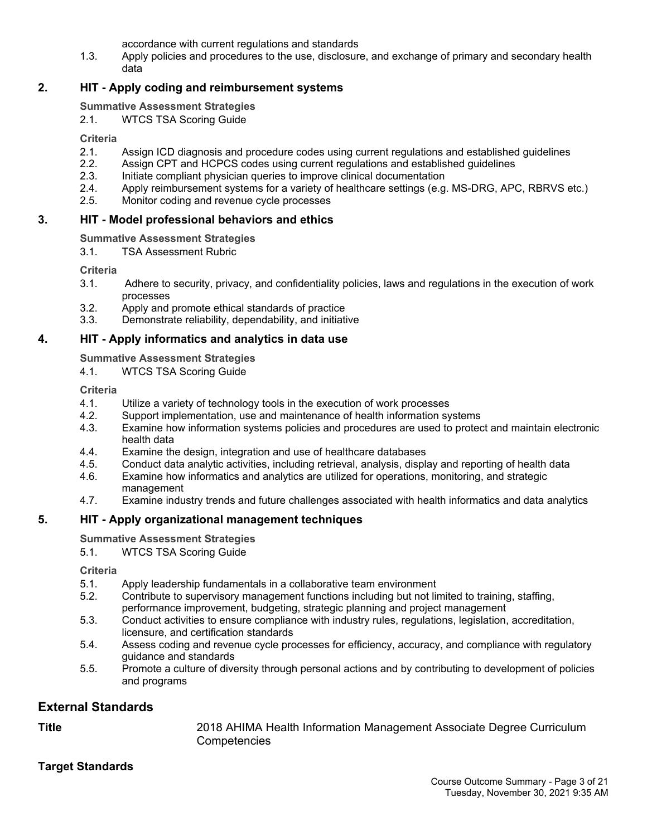accordance with current regulations and standards

1.3. Apply policies and procedures to the use, disclosure, and exchange of primary and secondary health data

## **2. HIT - Apply coding and reimbursement systems**

### **Summative Assessment Strategies**

2.1. WTCS TSA Scoring Guide

#### **Criteria**

- 2.1. Assign ICD diagnosis and procedure codes using current regulations and established guidelines
- 2.2. Assign CPT and HCPCS codes using current regulations and established guidelines
- 2.3. Initiate compliant physician queries to improve clinical documentation
- 2.4. Apply reimbursement systems for a variety of healthcare settings (e.g. MS-DRG, APC, RBRVS etc.)
- 2.5. Monitor coding and revenue cycle processes

## **3. HIT - Model professional behaviors and ethics**

**Summative Assessment Strategies**

3.1. TSA Assessment Rubric

**Criteria**

- 3.1. Adhere to security, privacy, and confidentiality policies, laws and regulations in the execution of work processes
- 3.2. Apply and promote ethical standards of practice
- 3.3. Demonstrate reliability, dependability, and initiative

## **4. HIT - Apply informatics and analytics in data use**

**Summative Assessment Strategies**

4.1. WTCS TSA Scoring Guide

#### **Criteria**

- 4.1. Utilize a variety of technology tools in the execution of work processes
- 4.2. Support implementation, use and maintenance of health information systems
- 4.3. Examine how information systems policies and procedures are used to protect and maintain electronic health data
- 4.4. Examine the design, integration and use of healthcare databases<br>4.5. Conduct data analytic activities, including retrieval, analysis, displa
- 4.5. Conduct data analytic activities, including retrieval, analysis, display and reporting of health data
- 4.6. Examine how informatics and analytics are utilized for operations, monitoring, and strategic management
- 4.7. Examine industry trends and future challenges associated with health informatics and data analytics

## **5. HIT - Apply organizational management techniques**

## **Summative Assessment Strategies**

5.1. WTCS TSA Scoring Guide

**Criteria**

- 5.1. Apply leadership fundamentals in a collaborative team environment
- 5.2. Contribute to supervisory management functions including but not limited to training, staffing, performance improvement, budgeting, strategic planning and project management
- 5.3. Conduct activities to ensure compliance with industry rules, regulations, legislation, accreditation, licensure, and certification standards
- 5.4. Assess coding and revenue cycle processes for efficiency, accuracy, and compliance with regulatory guidance and standards
- 5.5. Promote a culture of diversity through personal actions and by contributing to development of policies and programs

## **External Standards**

**Title** 2018 AHIMA Health Information Management Associate Degree Curriculum **Competencies** 

## **Target Standards**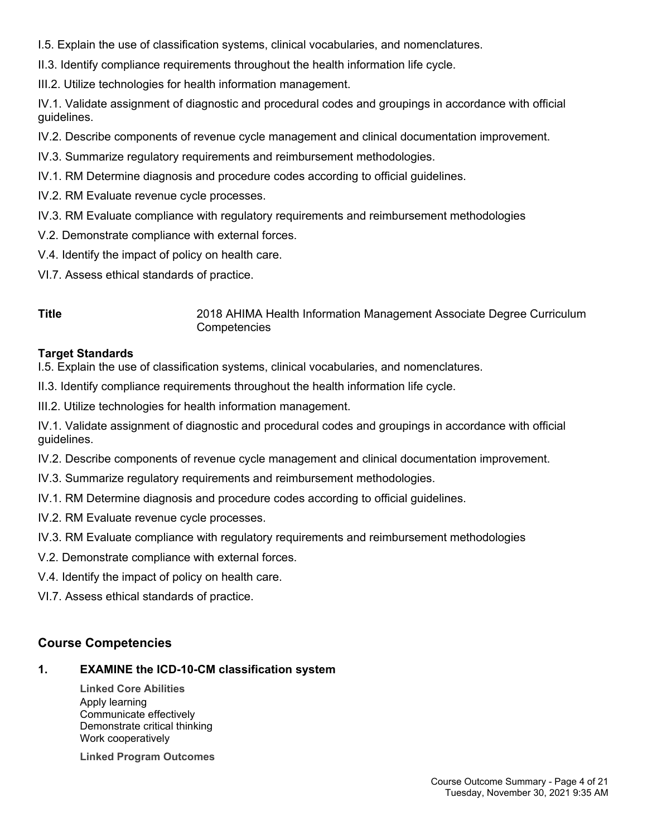- I.5. Explain the use of classification systems, clinical vocabularies, and nomenclatures.
- II.3. Identify compliance requirements throughout the health information life cycle.
- III.2. Utilize technologies for health information management.

IV.1. Validate assignment of diagnostic and procedural codes and groupings in accordance with official guidelines.

- IV.2. Describe components of revenue cycle management and clinical documentation improvement.
- IV.3. Summarize regulatory requirements and reimbursement methodologies.
- IV.1. RM Determine diagnosis and procedure codes according to official guidelines.
- IV.2. RM Evaluate revenue cycle processes.
- IV.3. RM Evaluate compliance with regulatory requirements and reimbursement methodologies
- V.2. Demonstrate compliance with external forces.
- V.4. Identify the impact of policy on health care.
- VI.7. Assess ethical standards of practice.

**Title** 2018 AHIMA Health Information Management Associate Degree Curriculum **Competencies** 

## **Target Standards**

- I.5. Explain the use of classification systems, clinical vocabularies, and nomenclatures.
- II.3. Identify compliance requirements throughout the health information life cycle.
- III.2. Utilize technologies for health information management.

IV.1. Validate assignment of diagnostic and procedural codes and groupings in accordance with official guidelines.

- IV.2. Describe components of revenue cycle management and clinical documentation improvement.
- IV.3. Summarize regulatory requirements and reimbursement methodologies.
- IV.1. RM Determine diagnosis and procedure codes according to official guidelines.
- IV.2. RM Evaluate revenue cycle processes.
- IV.3. RM Evaluate compliance with regulatory requirements and reimbursement methodologies
- V.2. Demonstrate compliance with external forces.
- V.4. Identify the impact of policy on health care.
- VI.7. Assess ethical standards of practice.

## **Course Competencies**

## **1. EXAMINE the ICD-10-CM classification system**

**Linked Core Abilities** Apply learning Communicate effectively Demonstrate critical thinking Work cooperatively

**Linked Program Outcomes**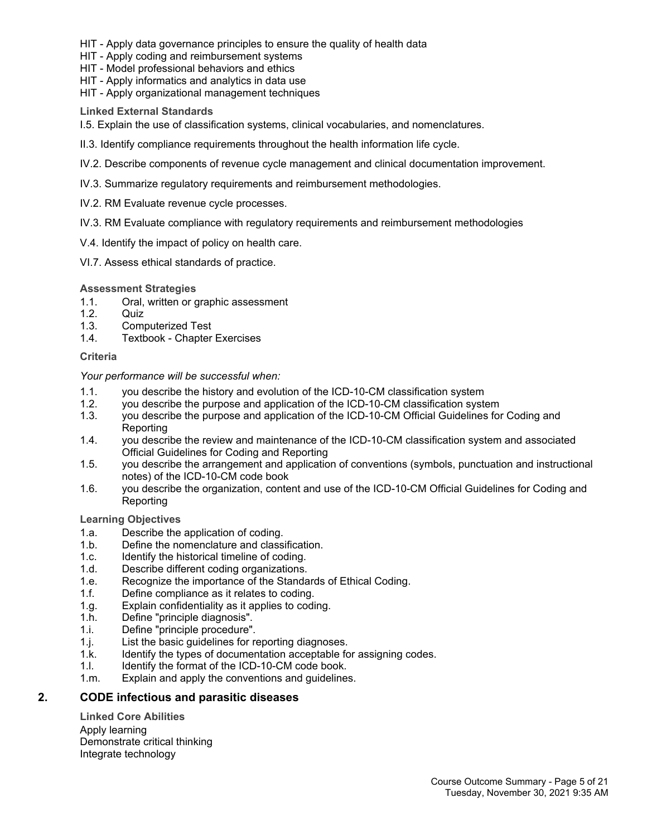- HIT Apply data governance principles to ensure the quality of health data
- HIT Apply coding and reimbursement systems
- HIT Model professional behaviors and ethics
- HIT Apply informatics and analytics in data use
- HIT Apply organizational management techniques

**Linked External Standards**

I.5. Explain the use of classification systems, clinical vocabularies, and nomenclatures.

- II.3. Identify compliance requirements throughout the health information life cycle.
- IV.2. Describe components of revenue cycle management and clinical documentation improvement.
- IV.3. Summarize regulatory requirements and reimbursement methodologies.
- IV.2. RM Evaluate revenue cycle processes.
- IV.3. RM Evaluate compliance with regulatory requirements and reimbursement methodologies
- V.4. Identify the impact of policy on health care.
- VI.7. Assess ethical standards of practice.

#### **Assessment Strategies**

- 1.1. Oral, written or graphic assessment
- 1.2. Quiz
- 1.3. Computerized Test
- 1.4. Textbook Chapter Exercises

#### **Criteria**

#### *Your performance will be successful when:*

- 1.1. you describe the history and evolution of the ICD-10-CM classification system
- 1.2. you describe the purpose and application of the ICD-10-CM classification system
- 1.3. you describe the purpose and application of the ICD-10-CM Official Guidelines for Coding and Reporting
- 1.4. you describe the review and maintenance of the ICD-10-CM classification system and associated Official Guidelines for Coding and Reporting
- 1.5. you describe the arrangement and application of conventions (symbols, punctuation and instructional notes) of the ICD-10-CM code book
- 1.6. you describe the organization, content and use of the ICD-10-CM Official Guidelines for Coding and **Reporting**

#### **Learning Objectives**

- 1.a. Describe the application of coding.
- 1.b. Define the nomenclature and classification.
- 1.c. Identify the historical timeline of coding.
- 1.d. Describe different coding organizations.
- 1.e. Recognize the importance of the Standards of Ethical Coding.
- 1.f. Define compliance as it relates to coding.
- 1.g. Explain confidentiality as it applies to coding.
- 1.h. Define "principle diagnosis".
- 1.i. Define "principle procedure".
- 1.j. List the basic guidelines for reporting diagnoses.
- 1.k. Identify the types of documentation acceptable for assigning codes.
- 1.l. Identify the format of the ICD-10-CM code book.
- 1.m. Explain and apply the conventions and guidelines.

### **2. CODE infectious and parasitic diseases**

**Linked Core Abilities** Apply learning Demonstrate critical thinking Integrate technology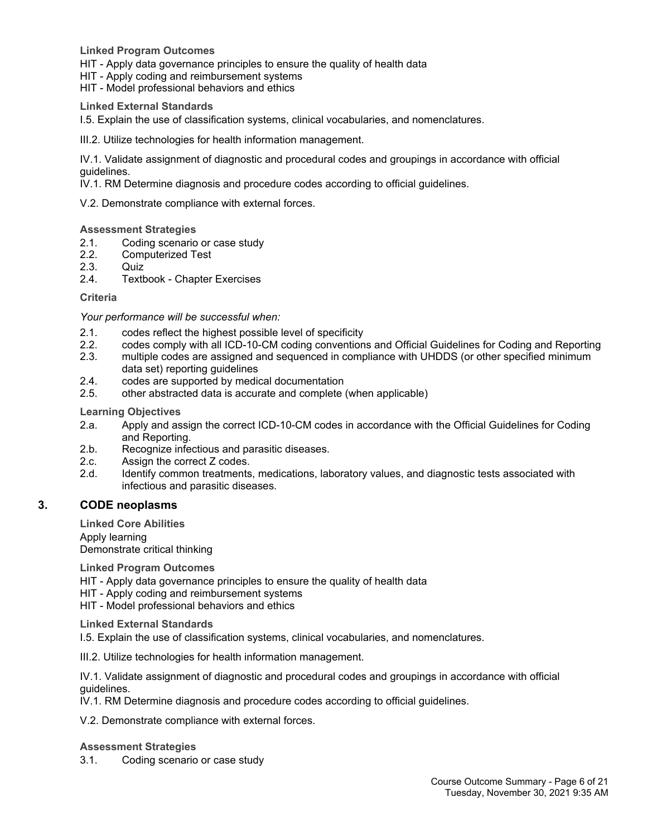**Linked Program Outcomes**

HIT - Apply data governance principles to ensure the quality of health data

HIT - Apply coding and reimbursement systems

HIT - Model professional behaviors and ethics

#### **Linked External Standards**

I.5. Explain the use of classification systems, clinical vocabularies, and nomenclatures.

III.2. Utilize technologies for health information management.

IV.1. Validate assignment of diagnostic and procedural codes and groupings in accordance with official guidelines.

IV.1. RM Determine diagnosis and procedure codes according to official guidelines.

V.2. Demonstrate compliance with external forces.

#### **Assessment Strategies**

- 2.1. Coding scenario or case study
- 2.2. Computerized Test<br>2.3. Quiz
- Quiz.
- 2.4. Textbook Chapter Exercises

#### **Criteria**

*Your performance will be successful when:*

- 2.1. codes reflect the highest possible level of specificity<br>2.2. codes comply with all ICD-10-CM coding convention
- 2.2. codes comply with all ICD-10-CM coding conventions and Official Guidelines for Coding and Reporting
- 2.3. multiple codes are assigned and sequenced in compliance with UHDDS (or other specified minimum data set) reporting guidelines
- 2.4. codes are supported by medical documentation
- 2.5. other abstracted data is accurate and complete (when applicable)

#### **Learning Objectives**

- 2.a. Apply and assign the correct ICD-10-CM codes in accordance with the Official Guidelines for Coding and Reporting.
- 2.b. Recognize infectious and parasitic diseases.
- 2.c. Assign the correct Z codes.
- 2.d. Identify common treatments, medications, laboratory values, and diagnostic tests associated with infectious and parasitic diseases.

#### **3. CODE neoplasms**

**Linked Core Abilities** Apply learning Demonstrate critical thinking

**Linked Program Outcomes**

HIT - Apply data governance principles to ensure the quality of health data

HIT - Apply coding and reimbursement systems

HIT - Model professional behaviors and ethics

**Linked External Standards**

I.5. Explain the use of classification systems, clinical vocabularies, and nomenclatures.

III.2. Utilize technologies for health information management.

IV.1. Validate assignment of diagnostic and procedural codes and groupings in accordance with official guidelines.

IV.1. RM Determine diagnosis and procedure codes according to official guidelines.

V.2. Demonstrate compliance with external forces.

#### **Assessment Strategies**

3.1. Coding scenario or case study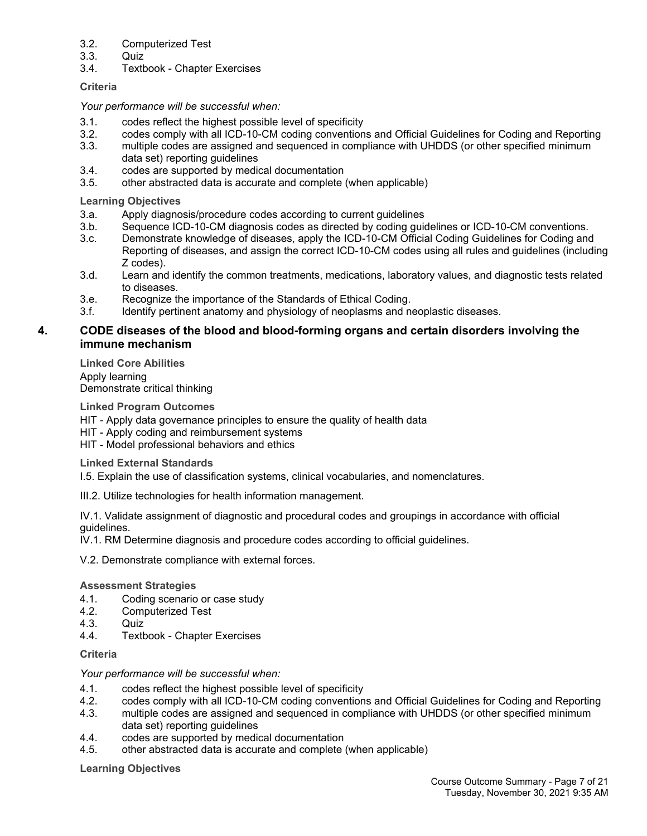#### 3.2. Computerized Test

- 3.3. Quiz
- 3.4. Textbook Chapter Exercises

#### **Criteria**

#### *Your performance will be successful when:*

- 3.1. codes reflect the highest possible level of specificity
- 3.2. codes comply with all ICD-10-CM coding conventions and Official Guidelines for Coding and Reporting
- 3.3. multiple codes are assigned and sequenced in compliance with UHDDS (or other specified minimum data set) reporting guidelines
- 3.4. codes are supported by medical documentation
- 3.5. other abstracted data is accurate and complete (when applicable)

**Learning Objectives**

- 3.a. Apply diagnosis/procedure codes according to current guidelines
- 3.b. Sequence ICD-10-CM diagnosis codes as directed by coding guidelines or ICD-10-CM conventions.
- 3.c. Demonstrate knowledge of diseases, apply the ICD-10-CM Official Coding Guidelines for Coding and Reporting of diseases, and assign the correct ICD-10-CM codes using all rules and guidelines (including Z codes).
- 3.d. Learn and identify the common treatments, medications, laboratory values, and diagnostic tests related to diseases.
- 3.e. Recognize the importance of the Standards of Ethical Coding.
- 3.f. Identify pertinent anatomy and physiology of neoplasms and neoplastic diseases.

#### **4. CODE diseases of the blood and blood-forming organs and certain disorders involving the immune mechanism**

**Linked Core Abilities** Apply learning Demonstrate critical thinking

**Linked Program Outcomes**

HIT - Apply data governance principles to ensure the quality of health data

HIT - Apply coding and reimbursement systems

HIT - Model professional behaviors and ethics

**Linked External Standards**

I.5. Explain the use of classification systems, clinical vocabularies, and nomenclatures.

III.2. Utilize technologies for health information management.

IV.1. Validate assignment of diagnostic and procedural codes and groupings in accordance with official guidelines.

IV.1. RM Determine diagnosis and procedure codes according to official guidelines.

V.2. Demonstrate compliance with external forces.

#### **Assessment Strategies**

- 4.1. Coding scenario or case study
- 4.2. Computerized Test
- 4.3. Quiz
- 4.4. Textbook Chapter Exercises

**Criteria**

#### *Your performance will be successful when:*

- 4.1. codes reflect the highest possible level of specificity
- 4.2. codes comply with all ICD-10-CM coding conventions and Official Guidelines for Coding and Reporting
- 4.3. multiple codes are assigned and sequenced in compliance with UHDDS (or other specified minimum data set) reporting guidelines
- 4.4. codes are supported by medical documentation
- 4.5. other abstracted data is accurate and complete (when applicable)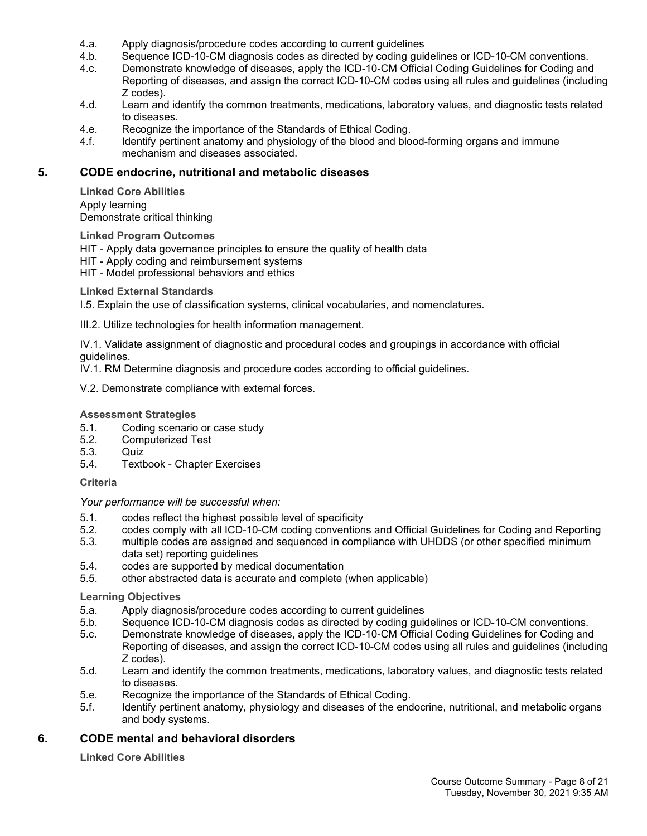- 4.a. Apply diagnosis/procedure codes according to current guidelines
- 4.b. Sequence ICD-10-CM diagnosis codes as directed by coding guidelines or ICD-10-CM conventions.<br>4.c. Demonstrate knowledge of diseases, apply the ICD-10-CM Official Coding Guidelines for Coding and
- Demonstrate knowledge of diseases, apply the ICD-10-CM Official Coding Guidelines for Coding and Reporting of diseases, and assign the correct ICD-10-CM codes using all rules and guidelines (including Z codes).
- 4.d. Learn and identify the common treatments, medications, laboratory values, and diagnostic tests related to diseases.
- 4.e. Recognize the importance of the Standards of Ethical Coding.
- 4.f. Identify pertinent anatomy and physiology of the blood and blood-forming organs and immune mechanism and diseases associated.

#### **5. CODE endocrine, nutritional and metabolic diseases**

**Linked Core Abilities** Apply learning Demonstrate critical thinking

**Linked Program Outcomes**

HIT - Apply data governance principles to ensure the quality of health data

HIT - Apply coding and reimbursement systems

HIT - Model professional behaviors and ethics

**Linked External Standards**

I.5. Explain the use of classification systems, clinical vocabularies, and nomenclatures.

III.2. Utilize technologies for health information management.

IV.1. Validate assignment of diagnostic and procedural codes and groupings in accordance with official guidelines.

IV.1. RM Determine diagnosis and procedure codes according to official guidelines.

V.2. Demonstrate compliance with external forces.

#### **Assessment Strategies**

- 5.1. Coding scenario or case study
- 5.2. Computerized Test
- 5.3. Quiz
- 5.4. Textbook Chapter Exercises

#### **Criteria**

*Your performance will be successful when:*

- 5.1. codes reflect the highest possible level of specificity
- 5.2. codes comply with all ICD-10-CM coding conventions and Official Guidelines for Coding and Reporting
- 5.3. multiple codes are assigned and sequenced in compliance with UHDDS (or other specified minimum data set) reporting guidelines
- 5.4. codes are supported by medical documentation
- 5.5. other abstracted data is accurate and complete (when applicable)

#### **Learning Objectives**

- 5.a. Apply diagnosis/procedure codes according to current guidelines
- 5.b. Sequence ICD-10-CM diagnosis codes as directed by coding guidelines or ICD-10-CM conventions.
- 5.c. Demonstrate knowledge of diseases, apply the ICD-10-CM Official Coding Guidelines for Coding and Reporting of diseases, and assign the correct ICD-10-CM codes using all rules and guidelines (including Z codes).
- 5.d. Learn and identify the common treatments, medications, laboratory values, and diagnostic tests related to diseases.
- 5.e. Recognize the importance of the Standards of Ethical Coding.
- 5.f. Identify pertinent anatomy, physiology and diseases of the endocrine, nutritional, and metabolic organs and body systems.

#### **6. CODE mental and behavioral disorders**

**Linked Core Abilities**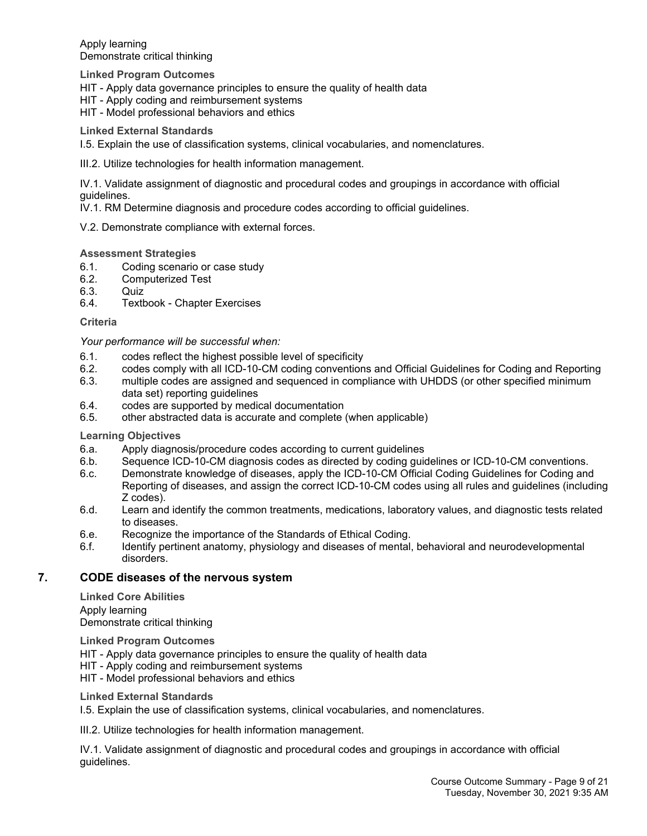Apply learning Demonstrate critical thinking

**Linked Program Outcomes**

HIT - Apply data governance principles to ensure the quality of health data

HIT - Apply coding and reimbursement systems

HIT - Model professional behaviors and ethics

**Linked External Standards**

I.5. Explain the use of classification systems, clinical vocabularies, and nomenclatures.

III.2. Utilize technologies for health information management.

IV.1. Validate assignment of diagnostic and procedural codes and groupings in accordance with official guidelines.

IV.1. RM Determine diagnosis and procedure codes according to official guidelines.

V.2. Demonstrate compliance with external forces.

#### **Assessment Strategies**

- 6.1. Coding scenario or case study
- 6.2. Computerized Test
- 6.3. Quiz
- 6.4. Textbook Chapter Exercises

**Criteria**

#### *Your performance will be successful when:*

- 6.1. codes reflect the highest possible level of specificity
- 6.2. codes comply with all ICD-10-CM coding conventions and Official Guidelines for Coding and Reporting
- 6.3. multiple codes are assigned and sequenced in compliance with UHDDS (or other specified minimum data set) reporting guidelines
- 6.4. codes are supported by medical documentation
- 6.5. other abstracted data is accurate and complete (when applicable)

**Learning Objectives**

- 6.a. Apply diagnosis/procedure codes according to current guidelines
- 6.b. Sequence ICD-10-CM diagnosis codes as directed by coding guidelines or ICD-10-CM conventions.
- 6.c. Demonstrate knowledge of diseases, apply the ICD-10-CM Official Coding Guidelines for Coding and Reporting of diseases, and assign the correct ICD-10-CM codes using all rules and guidelines (including Z codes).
- 6.d. Learn and identify the common treatments, medications, laboratory values, and diagnostic tests related to diseases.
- 6.e. Recognize the importance of the Standards of Ethical Coding.
- 6.f. Identify pertinent anatomy, physiology and diseases of mental, behavioral and neurodevelopmental disorders.

#### **7. CODE diseases of the nervous system**

**Linked Core Abilities** Apply learning Demonstrate critical thinking

**Linked Program Outcomes**

HIT - Apply data governance principles to ensure the quality of health data

HIT - Apply coding and reimbursement systems

HIT - Model professional behaviors and ethics

**Linked External Standards**

I.5. Explain the use of classification systems, clinical vocabularies, and nomenclatures.

III.2. Utilize technologies for health information management.

IV.1. Validate assignment of diagnostic and procedural codes and groupings in accordance with official guidelines.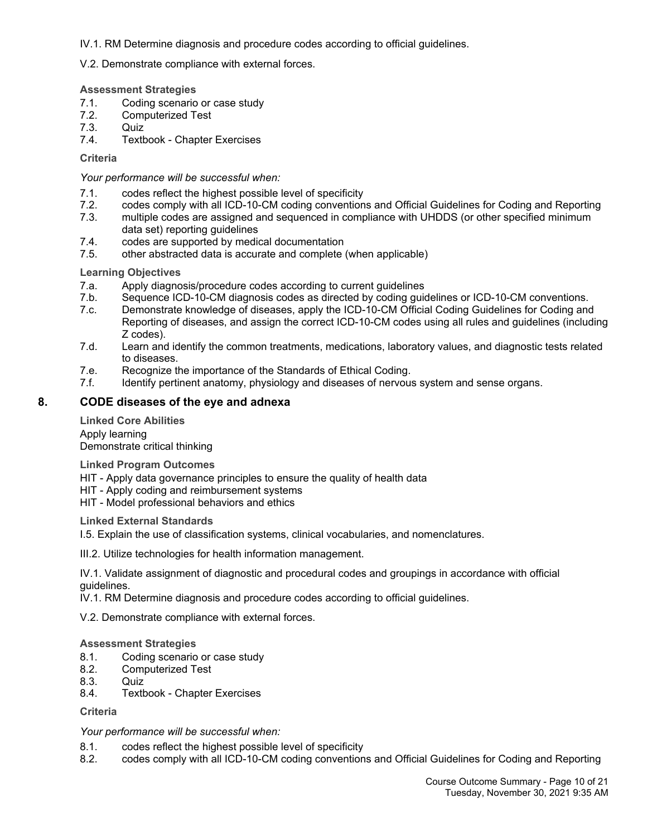IV.1. RM Determine diagnosis and procedure codes according to official guidelines.

V.2. Demonstrate compliance with external forces.

#### **Assessment Strategies**

- 7.1. Coding scenario or case study
- 7.2. Computerized Test
- 7.3. Quiz
- 7.4. Textbook Chapter Exercises

**Criteria**

*Your performance will be successful when:*

- 7.1. codes reflect the highest possible level of specificity<br>7.2. codes comply with all ICD-10-CM coding convention
- 7.2. codes comply with all ICD-10-CM coding conventions and Official Guidelines for Coding and Reporting<br>7.3 multiple codes are assigned and sequenced in compliance with UHDDS (or other specified minimum
- multiple codes are assigned and sequenced in compliance with UHDDS (or other specified minimum data set) reporting guidelines
- 7.4. codes are supported by medical documentation
- 7.5. other abstracted data is accurate and complete (when applicable)

#### **Learning Objectives**

- 7.a. Apply diagnosis/procedure codes according to current guidelines
- 7.b. Sequence ICD-10-CM diagnosis codes as directed by coding guidelines or ICD-10-CM conventions.
- 7.c. Demonstrate knowledge of diseases, apply the ICD-10-CM Official Coding Guidelines for Coding and Reporting of diseases, and assign the correct ICD-10-CM codes using all rules and guidelines (including Z codes).
- 7.d. Learn and identify the common treatments, medications, laboratory values, and diagnostic tests related to diseases.
- 7.e. Recognize the importance of the Standards of Ethical Coding.
- 7.f. Identify pertinent anatomy, physiology and diseases of nervous system and sense organs.

#### **8. CODE diseases of the eye and adnexa**

**Linked Core Abilities** Apply learning Demonstrate critical thinking

**Linked Program Outcomes**

HIT - Apply data governance principles to ensure the quality of health data

HIT - Apply coding and reimbursement systems

HIT - Model professional behaviors and ethics

#### **Linked External Standards**

I.5. Explain the use of classification systems, clinical vocabularies, and nomenclatures.

III.2. Utilize technologies for health information management.

IV.1. Validate assignment of diagnostic and procedural codes and groupings in accordance with official guidelines.

IV.1. RM Determine diagnosis and procedure codes according to official guidelines.

V.2. Demonstrate compliance with external forces.

#### **Assessment Strategies**

- 8.1. Coding scenario or case study
- 8.2. Computerized Test
- 8.3. Quiz
- 8.4. Textbook Chapter Exercises

#### **Criteria**

#### *Your performance will be successful when:*

- 8.1. codes reflect the highest possible level of specificity
- 8.2. codes comply with all ICD-10-CM coding conventions and Official Guidelines for Coding and Reporting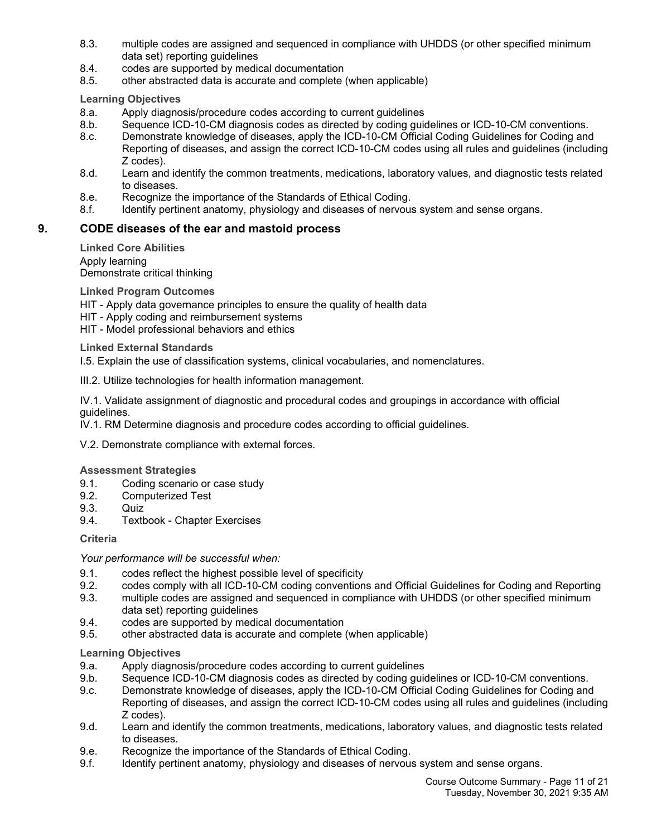- 8.3. multiple codes are assigned and sequenced in compliance with UHDDS (or other specified minimum data set) reporting guidelines
- 8.4. codes are supported by medical documentation
- 8.5. other abstracted data is accurate and complete (when applicable)

**Learning Objectives**

- 8.a. Apply diagnosis/procedure codes according to current guidelines
- 8.b. Sequence ICD-10-CM diagnosis codes as directed by coding guidelines or ICD-10-CM conventions.
- 8.c. Demonstrate knowledge of diseases, apply the ICD-10-CM Official Coding Guidelines for Coding and Reporting of diseases, and assign the correct ICD-10-CM codes using all rules and guidelines (including Z codes).
- 8.d. Learn and identify the common treatments, medications, laboratory values, and diagnostic tests related to diseases.
- 8.e. Recognize the importance of the Standards of Ethical Coding.
- 8.f. Identify pertinent anatomy, physiology and diseases of nervous system and sense organs.

### **9. CODE diseases of the ear and mastoid process**

**Linked Core Abilities** Apply learning Demonstrate critical thinking

**Linked Program Outcomes**

- HIT Apply data governance principles to ensure the quality of health data
- HIT Apply coding and reimbursement systems
- HIT Model professional behaviors and ethics

#### **Linked External Standards**

I.5. Explain the use of classification systems, clinical vocabularies, and nomenclatures.

III.2. Utilize technologies for health information management.

IV.1. Validate assignment of diagnostic and procedural codes and groupings in accordance with official guidelines.

IV.1. RM Determine diagnosis and procedure codes according to official guidelines.

V.2. Demonstrate compliance with external forces.

#### **Assessment Strategies**

- 9.1. Coding scenario or case study
- 9.2. Computerized Test
- 9.3. Quiz
- 9.4. Textbook Chapter Exercises

**Criteria**

#### *Your performance will be successful when:*

- 9.1. codes reflect the highest possible level of specificity
- 9.2. codes comply with all ICD-10-CM coding conventions and Official Guidelines for Coding and Reporting
- 9.3. multiple codes are assigned and sequenced in compliance with UHDDS (or other specified minimum data set) reporting guidelines
- 9.4. codes are supported by medical documentation
- 9.5. other abstracted data is accurate and complete (when applicable)

- 9.a. Apply diagnosis/procedure codes according to current guidelines
- 9.b. Sequence ICD-10-CM diagnosis codes as directed by coding guidelines or ICD-10-CM conventions.
- 9.c. Demonstrate knowledge of diseases, apply the ICD-10-CM Official Coding Guidelines for Coding and Reporting of diseases, and assign the correct ICD-10-CM codes using all rules and guidelines (including Z codes).
- 9.d. Learn and identify the common treatments, medications, laboratory values, and diagnostic tests related to diseases.
- 9.e. Recognize the importance of the Standards of Ethical Coding.
- 9.f. Identify pertinent anatomy, physiology and diseases of nervous system and sense organs.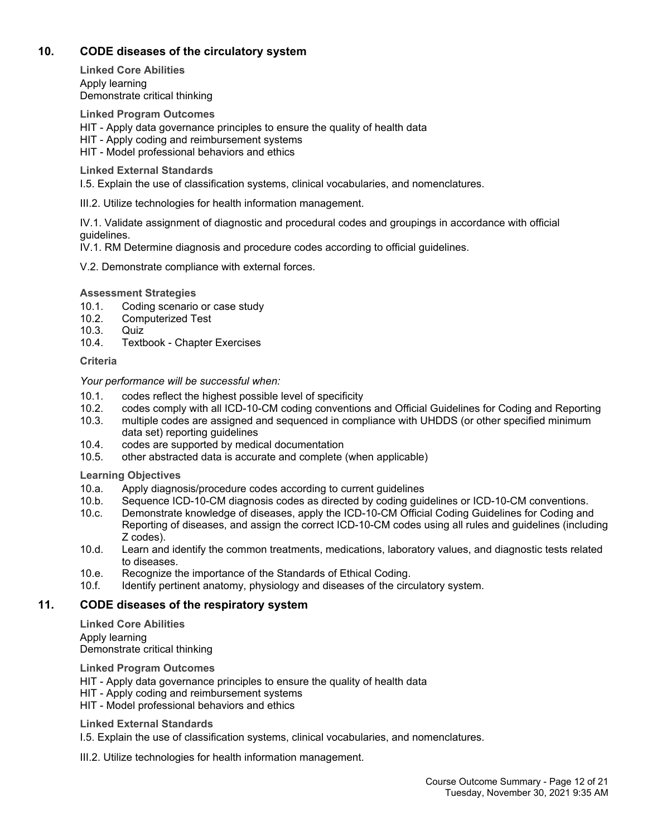## **10. CODE diseases of the circulatory system**

**Linked Core Abilities** Apply learning Demonstrate critical thinking

**Linked Program Outcomes** HIT - Apply data governance principles to ensure the quality of health data HIT - Apply coding and reimbursement systems HIT - Model professional behaviors and ethics

**Linked External Standards**

I.5. Explain the use of classification systems, clinical vocabularies, and nomenclatures.

III.2. Utilize technologies for health information management.

IV.1. Validate assignment of diagnostic and procedural codes and groupings in accordance with official guidelines.

IV.1. RM Determine diagnosis and procedure codes according to official guidelines.

V.2. Demonstrate compliance with external forces.

**Assessment Strategies**

- 10.1. Coding scenario or case study
- 10.2. Computerized Test
- 10.3. Quiz
- 10.4. Textbook Chapter Exercises

#### **Criteria**

*Your performance will be successful when:*

- 10.1. codes reflect the highest possible level of specificity
- 10.2. codes comply with all ICD-10-CM coding conventions and Official Guidelines for Coding and Reporting
- 10.3. multiple codes are assigned and sequenced in compliance with UHDDS (or other specified minimum data set) reporting guidelines
- 10.4. codes are supported by medical documentation
- 10.5. other abstracted data is accurate and complete (when applicable)

**Learning Objectives**

- 10.a. Apply diagnosis/procedure codes according to current guidelines<br>10.b. Sequence ICD-10-CM diagnosis codes as directed by coding qui
- Sequence ICD-10-CM diagnosis codes as directed by coding guidelines or ICD-10-CM conventions.
- 10.c. Demonstrate knowledge of diseases, apply the ICD-10-CM Official Coding Guidelines for Coding and Reporting of diseases, and assign the correct ICD-10-CM codes using all rules and guidelines (including Z codes).
- 10.d. Learn and identify the common treatments, medications, laboratory values, and diagnostic tests related to diseases.
- 10.e. Recognize the importance of the Standards of Ethical Coding.
- 10.f. Identify pertinent anatomy, physiology and diseases of the circulatory system.

#### **11. CODE diseases of the respiratory system**

**Linked Core Abilities** Apply learning Demonstrate critical thinking

**Linked Program Outcomes**

- HIT Apply data governance principles to ensure the quality of health data
- HIT Apply coding and reimbursement systems
- HIT Model professional behaviors and ethics

#### **Linked External Standards**

I.5. Explain the use of classification systems, clinical vocabularies, and nomenclatures.

III.2. Utilize technologies for health information management.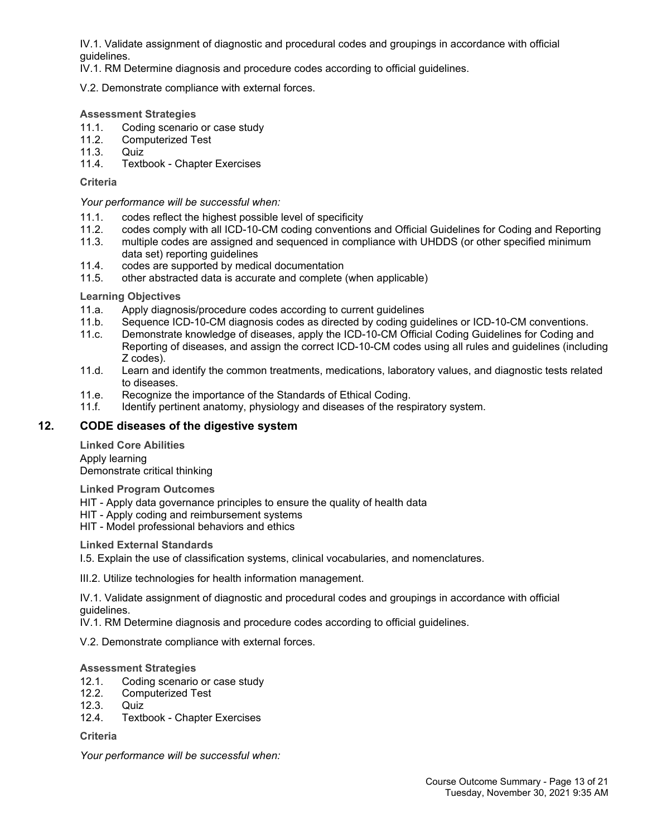IV.1. Validate assignment of diagnostic and procedural codes and groupings in accordance with official guidelines.

IV.1. RM Determine diagnosis and procedure codes according to official guidelines.

V.2. Demonstrate compliance with external forces.

#### **Assessment Strategies**

- 11.1. Coding scenario or case study
- 11.2. Computerized Test
- 11.3. Quiz
- 11.4. Textbook Chapter Exercises

**Criteria**

*Your performance will be successful when:*

- 11.1. codes reflect the highest possible level of specificity
- 11.2. codes comply with all ICD-10-CM coding conventions and Official Guidelines for Coding and Reporting
- 11.3. multiple codes are assigned and sequenced in compliance with UHDDS (or other specified minimum data set) reporting guidelines
- 11.4. codes are supported by medical documentation
- 11.5. other abstracted data is accurate and complete (when applicable)

**Learning Objectives**

- 11.a. Apply diagnosis/procedure codes according to current guidelines
- 11.b. Sequence ICD-10-CM diagnosis codes as directed by coding guidelines or ICD-10-CM conventions.
- 11.c. Demonstrate knowledge of diseases, apply the ICD-10-CM Official Coding Guidelines for Coding and Reporting of diseases, and assign the correct ICD-10-CM codes using all rules and guidelines (including Z codes).
- 11.d. Learn and identify the common treatments, medications, laboratory values, and diagnostic tests related to diseases.
- 11.e. Recognize the importance of the Standards of Ethical Coding.
- 11.f. Identify pertinent anatomy, physiology and diseases of the respiratory system.

### **12. CODE diseases of the digestive system**

**Linked Core Abilities** Apply learning Demonstrate critical thinking

**Linked Program Outcomes**

HIT - Apply data governance principles to ensure the quality of health data

HIT - Apply coding and reimbursement systems

HIT - Model professional behaviors and ethics

**Linked External Standards**

I.5. Explain the use of classification systems, clinical vocabularies, and nomenclatures.

III.2. Utilize technologies for health information management.

IV.1. Validate assignment of diagnostic and procedural codes and groupings in accordance with official guidelines.

IV.1. RM Determine diagnosis and procedure codes according to official guidelines.

V.2. Demonstrate compliance with external forces.

#### **Assessment Strategies**

- 12.1. Coding scenario or case study
- 12.2. Computerized Test
- 12.3. Quiz
- 12.4. Textbook Chapter Exercises

**Criteria**

*Your performance will be successful when:*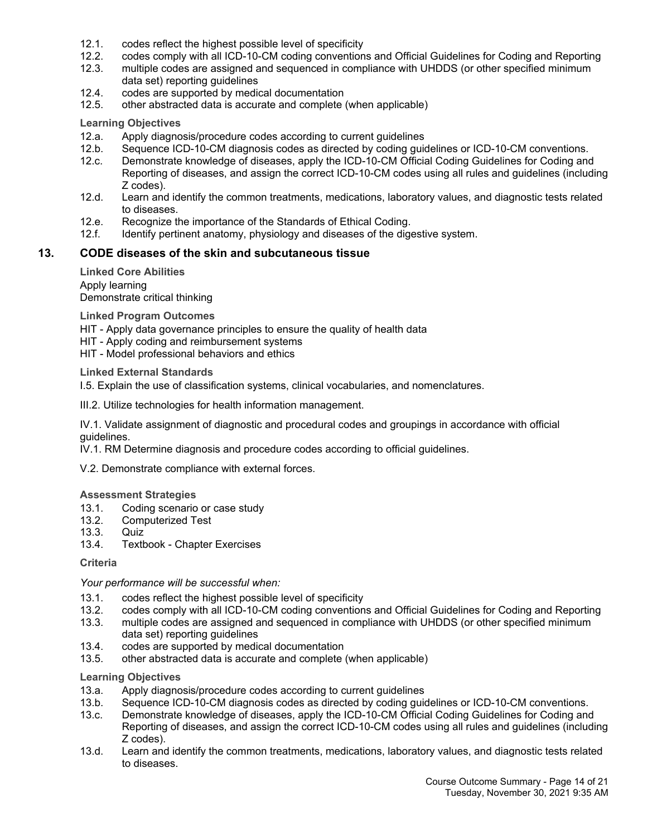- 12.1. codes reflect the highest possible level of specificity
- 12.2. codes comply with all ICD-10-CM coding conventions and Official Guidelines for Coding and Reporting
- 12.3. multiple codes are assigned and sequenced in compliance with UHDDS (or other specified minimum data set) reporting guidelines
- 12.4. codes are supported by medical documentation<br>12.5. other abstracted data is accurate and complete
- other abstracted data is accurate and complete (when applicable)

#### **Learning Objectives**

- 12.a. Apply diagnosis/procedure codes according to current guidelines
- 12.b. Sequence ICD-10-CM diagnosis codes as directed by coding guidelines or ICD-10-CM conventions.
- 12.c. Demonstrate knowledge of diseases, apply the ICD-10-CM Official Coding Guidelines for Coding and Reporting of diseases, and assign the correct ICD-10-CM codes using all rules and guidelines (including Z codes).
- 12.d. Learn and identify the common treatments, medications, laboratory values, and diagnostic tests related to diseases.
- 12.e. Recognize the importance of the Standards of Ethical Coding.
- 12.f. Identify pertinent anatomy, physiology and diseases of the digestive system.

#### **13. CODE diseases of the skin and subcutaneous tissue**

**Linked Core Abilities** Apply learning Demonstrate critical thinking

**Linked Program Outcomes**

HIT - Apply data governance principles to ensure the quality of health data

HIT - Apply coding and reimbursement systems

HIT - Model professional behaviors and ethics

**Linked External Standards**

I.5. Explain the use of classification systems, clinical vocabularies, and nomenclatures.

III.2. Utilize technologies for health information management.

IV.1. Validate assignment of diagnostic and procedural codes and groupings in accordance with official guidelines.

IV.1. RM Determine diagnosis and procedure codes according to official guidelines.

V.2. Demonstrate compliance with external forces.

#### **Assessment Strategies**

- 13.1. Coding scenario or case study
- 13.2. Computerized Test
- 13.3. Quiz
- 13.4. Textbook Chapter Exercises

#### **Criteria**

*Your performance will be successful when:*

- 13.1. codes reflect the highest possible level of specificity
- 13.2. codes comply with all ICD-10-CM coding conventions and Official Guidelines for Coding and Reporting
- 13.3. multiple codes are assigned and sequenced in compliance with UHDDS (or other specified minimum data set) reporting quidelines
- 13.4. codes are supported by medical documentation
- 13.5. other abstracted data is accurate and complete (when applicable)

- 13.a. Apply diagnosis/procedure codes according to current guidelines
- 13.b. Sequence ICD-10-CM diagnosis codes as directed by coding guidelines or ICD-10-CM conventions.
- 13.c. Demonstrate knowledge of diseases, apply the ICD-10-CM Official Coding Guidelines for Coding and Reporting of diseases, and assign the correct ICD-10-CM codes using all rules and guidelines (including Z codes).
- 13.d. Learn and identify the common treatments, medications, laboratory values, and diagnostic tests related to diseases.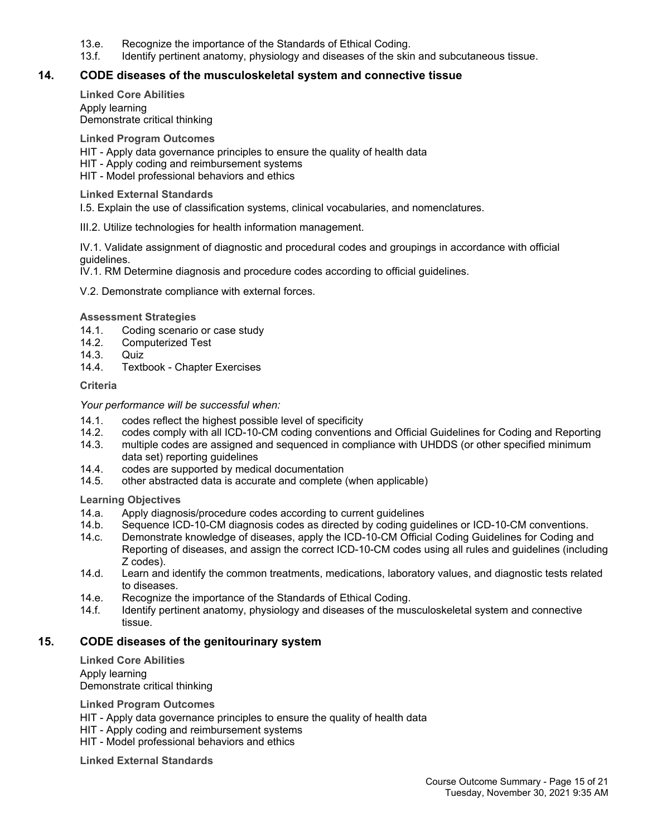- 13.e. Recognize the importance of the Standards of Ethical Coding.
- 13.f. Identify pertinent anatomy, physiology and diseases of the skin and subcutaneous tissue.

#### **14. CODE diseases of the musculoskeletal system and connective tissue**

**Linked Core Abilities** Apply learning Demonstrate critical thinking

**Linked Program Outcomes**

HIT - Apply data governance principles to ensure the quality of health data

- HIT Apply coding and reimbursement systems
- HIT Model professional behaviors and ethics

**Linked External Standards**

I.5. Explain the use of classification systems, clinical vocabularies, and nomenclatures.

III.2. Utilize technologies for health information management.

IV.1. Validate assignment of diagnostic and procedural codes and groupings in accordance with official guidelines.

IV.1. RM Determine diagnosis and procedure codes according to official guidelines.

V.2. Demonstrate compliance with external forces.

**Assessment Strategies**

- 14.1. Coding scenario or case study
- 14.2. Computerized Test
- 14.3. Quiz<br>14.4. Textb
- Textbook Chapter Exercises

**Criteria**

*Your performance will be successful when:*

- 14.1. codes reflect the highest possible level of specificity
- 14.2. codes comply with all ICD-10-CM coding conventions and Official Guidelines for Coding and Reporting
- 14.3. multiple codes are assigned and sequenced in compliance with UHDDS (or other specified minimum data set) reporting quidelines
- 14.4. codes are supported by medical documentation
- 14.5. other abstracted data is accurate and complete (when applicable)

**Learning Objectives**

- 14.a. Apply diagnosis/procedure codes according to current guidelines
- 14.b. Sequence ICD-10-CM diagnosis codes as directed by coding guidelines or ICD-10-CM conventions.
- 14.c. Demonstrate knowledge of diseases, apply the ICD-10-CM Official Coding Guidelines for Coding and Reporting of diseases, and assign the correct ICD-10-CM codes using all rules and guidelines (including Z codes).
- 14.d. Learn and identify the common treatments, medications, laboratory values, and diagnostic tests related to diseases.
- 14.e. Recognize the importance of the Standards of Ethical Coding.
- 14.f. Identify pertinent anatomy, physiology and diseases of the musculoskeletal system and connective tissue.

#### **15. CODE diseases of the genitourinary system**

**Linked Core Abilities** Apply learning Demonstrate critical thinking

**Linked Program Outcomes**

HIT - Apply data governance principles to ensure the quality of health data

HIT - Apply coding and reimbursement systems

HIT - Model professional behaviors and ethics

**Linked External Standards**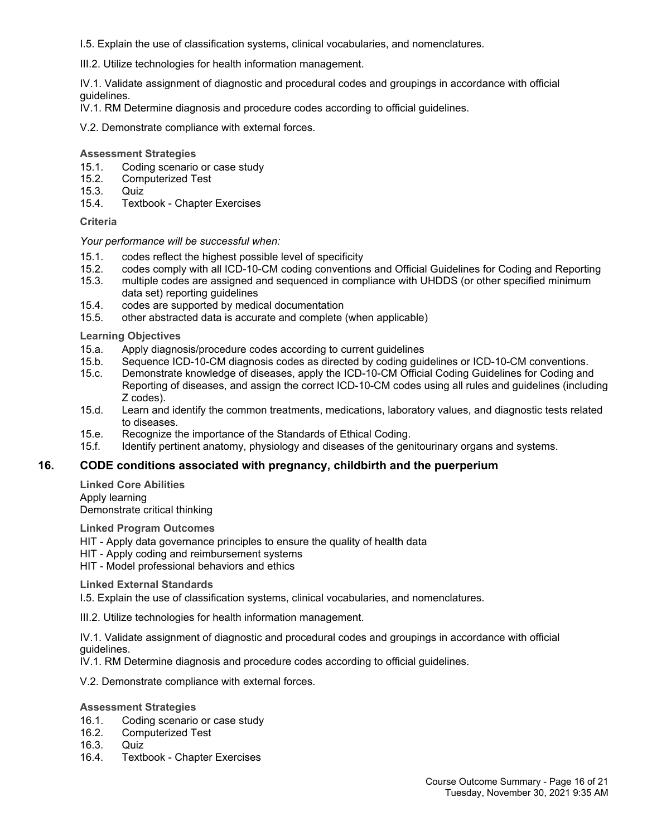I.5. Explain the use of classification systems, clinical vocabularies, and nomenclatures.

III.2. Utilize technologies for health information management.

IV.1. Validate assignment of diagnostic and procedural codes and groupings in accordance with official guidelines.

IV.1. RM Determine diagnosis and procedure codes according to official guidelines.

V.2. Demonstrate compliance with external forces.

#### **Assessment Strategies**

- 15.1. Coding scenario or case study
- 15.2. Computerized Test
- 15.3. Quiz
- 15.4. Textbook Chapter Exercises

#### **Criteria**

*Your performance will be successful when:*

- 15.1. codes reflect the highest possible level of specificity
- 15.2. codes comply with all ICD-10-CM coding conventions and Official Guidelines for Coding and Reporting
- 15.3. multiple codes are assigned and sequenced in compliance with UHDDS (or other specified minimum data set) reporting guidelines
- 15.4. codes are supported by medical documentation
- 15.5. other abstracted data is accurate and complete (when applicable)

**Learning Objectives**

- 15.a. Apply diagnosis/procedure codes according to current guidelines<br>15.b. Sequence ICD-10-CM diagnosis codes as directed by coding guid
- Sequence ICD-10-CM diagnosis codes as directed by coding guidelines or ICD-10-CM conventions.
- 15.c. Demonstrate knowledge of diseases, apply the ICD-10-CM Official Coding Guidelines for Coding and Reporting of diseases, and assign the correct ICD-10-CM codes using all rules and guidelines (including Z codes).
- 15.d. Learn and identify the common treatments, medications, laboratory values, and diagnostic tests related to diseases.
- 15.e. Recognize the importance of the Standards of Ethical Coding.
- 15.f. Identify pertinent anatomy, physiology and diseases of the genitourinary organs and systems.

#### **16. CODE conditions associated with pregnancy, childbirth and the puerperium**

**Linked Core Abilities** Apply learning Demonstrate critical thinking

**Linked Program Outcomes**

HIT - Apply data governance principles to ensure the quality of health data

HIT - Apply coding and reimbursement systems

HIT - Model professional behaviors and ethics

**Linked External Standards**

I.5. Explain the use of classification systems, clinical vocabularies, and nomenclatures.

III.2. Utilize technologies for health information management.

IV.1. Validate assignment of diagnostic and procedural codes and groupings in accordance with official guidelines.

IV.1. RM Determine diagnosis and procedure codes according to official guidelines.

V.2. Demonstrate compliance with external forces.

#### **Assessment Strategies**

- 16.1. Coding scenario or case study
- 16.2. Computerized Test
- 16.3. Quiz
- 16.4. Textbook Chapter Exercises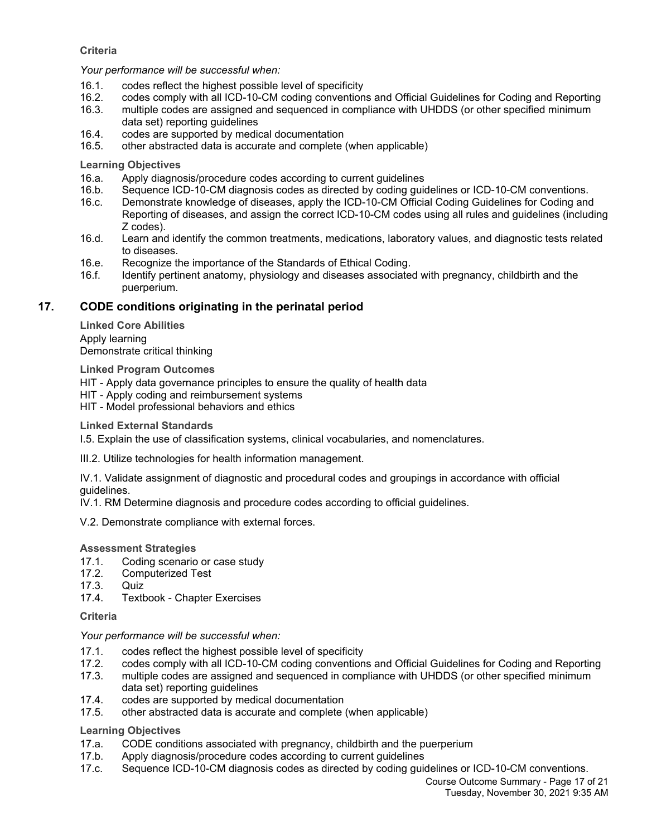#### **Criteria**

*Your performance will be successful when:*

- 16.1. codes reflect the highest possible level of specificity
- 16.2. codes comply with all ICD-10-CM coding conventions and Official Guidelines for Coding and Reporting
- 16.3. multiple codes are assigned and sequenced in compliance with UHDDS (or other specified minimum data set) reporting guidelines
- 16.4. codes are supported by medical documentation
- 16.5. other abstracted data is accurate and complete (when applicable)

#### **Learning Objectives**

- 16.a. Apply diagnosis/procedure codes according to current guidelines
- 16.b. Sequence ICD-10-CM diagnosis codes as directed by coding guidelines or ICD-10-CM conventions.
- 16.c. Demonstrate knowledge of diseases, apply the ICD-10-CM Official Coding Guidelines for Coding and Reporting of diseases, and assign the correct ICD-10-CM codes using all rules and guidelines (including Z codes).
- 16.d. Learn and identify the common treatments, medications, laboratory values, and diagnostic tests related to diseases.
- 16.e. Recognize the importance of the Standards of Ethical Coding.
- 16.f. Identify pertinent anatomy, physiology and diseases associated with pregnancy, childbirth and the puerperium.

### **17. CODE conditions originating in the perinatal period**

**Linked Core Abilities** Apply learning Demonstrate critical thinking

**Linked Program Outcomes**

HIT - Apply data governance principles to ensure the quality of health data

- HIT Apply coding and reimbursement systems
- HIT Model professional behaviors and ethics

#### **Linked External Standards**

I.5. Explain the use of classification systems, clinical vocabularies, and nomenclatures.

III.2. Utilize technologies for health information management.

IV.1. Validate assignment of diagnostic and procedural codes and groupings in accordance with official guidelines.

IV.1. RM Determine diagnosis and procedure codes according to official guidelines.

V.2. Demonstrate compliance with external forces.

#### **Assessment Strategies**

- 17.1. Coding scenario or case study
- 17.2. Computerized Test
- 17.3. Quiz<br>17.4. Text
- Textbook Chapter Exercises

**Criteria**

#### *Your performance will be successful when:*

- 17.1. codes reflect the highest possible level of specificity
- 17.2. codes comply with all ICD-10-CM coding conventions and Official Guidelines for Coding and Reporting
- 17.3. multiple codes are assigned and sequenced in compliance with UHDDS (or other specified minimum data set) reporting guidelines
- 17.4. codes are supported by medical documentation
- 17.5. other abstracted data is accurate and complete (when applicable)

- 17.a. CODE conditions associated with pregnancy, childbirth and the puerperium
- 17.b. Apply diagnosis/procedure codes according to current guidelines
- 17.c. Sequence ICD-10-CM diagnosis codes as directed by coding guidelines or ICD-10-CM conventions.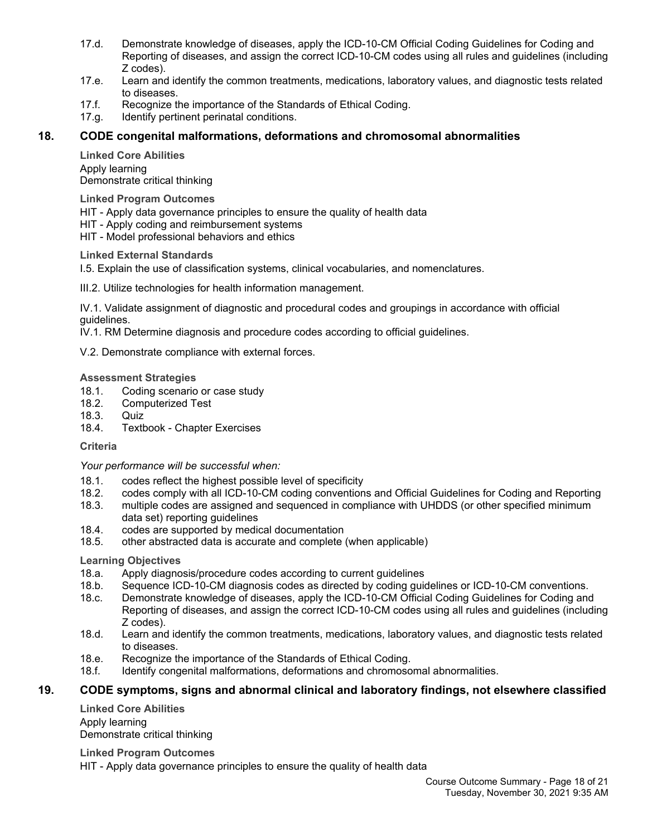- 17.d. Demonstrate knowledge of diseases, apply the ICD-10-CM Official Coding Guidelines for Coding and Reporting of diseases, and assign the correct ICD-10-CM codes using all rules and guidelines (including Z codes).
- 17.e. Learn and identify the common treatments, medications, laboratory values, and diagnostic tests related to diseases.
- 17.f. Recognize the importance of the Standards of Ethical Coding.
- 17.g. Identify pertinent perinatal conditions.

## **18. CODE congenital malformations, deformations and chromosomal abnormalities**

**Linked Core Abilities** Apply learning Demonstrate critical thinking

**Linked Program Outcomes**

HIT - Apply data governance principles to ensure the quality of health data

HIT - Apply coding and reimbursement systems

HIT - Model professional behaviors and ethics

**Linked External Standards**

I.5. Explain the use of classification systems, clinical vocabularies, and nomenclatures.

III.2. Utilize technologies for health information management.

IV.1. Validate assignment of diagnostic and procedural codes and groupings in accordance with official guidelines.

IV.1. RM Determine diagnosis and procedure codes according to official guidelines.

V.2. Demonstrate compliance with external forces.

#### **Assessment Strategies**

- 18.1. Coding scenario or case study
- 18.2. Computerized Test
- 18.3. Quiz
- 18.4. Textbook Chapter Exercises

**Criteria**

*Your performance will be successful when:*

- 18.1. codes reflect the highest possible level of specificity
- 18.2. codes comply with all ICD-10-CM coding conventions and Official Guidelines for Coding and Reporting<br>18.3. multiple codes are assigned and sequenced in compliance with UHDDS (or other specified minimum
- multiple codes are assigned and sequenced in compliance with UHDDS (or other specified minimum data set) reporting guidelines
- 18.4. codes are supported by medical documentation
- 18.5. other abstracted data is accurate and complete (when applicable)

#### **Learning Objectives**

- 18.a. Apply diagnosis/procedure codes according to current guidelines
- 18.b. Sequence ICD-10-CM diagnosis codes as directed by coding guidelines or ICD-10-CM conventions.
- 18.c. Demonstrate knowledge of diseases, apply the ICD-10-CM Official Coding Guidelines for Coding and Reporting of diseases, and assign the correct ICD-10-CM codes using all rules and guidelines (including Z codes).
- 18.d. Learn and identify the common treatments, medications, laboratory values, and diagnostic tests related to diseases.
- 18.e. Recognize the importance of the Standards of Ethical Coding.
- 18.f. Identify congenital malformations, deformations and chromosomal abnormalities.

## **19. CODE symptoms, signs and abnormal clinical and laboratory findings, not elsewhere classified**

**Linked Core Abilities** Apply learning Demonstrate critical thinking

**Linked Program Outcomes**

HIT - Apply data governance principles to ensure the quality of health data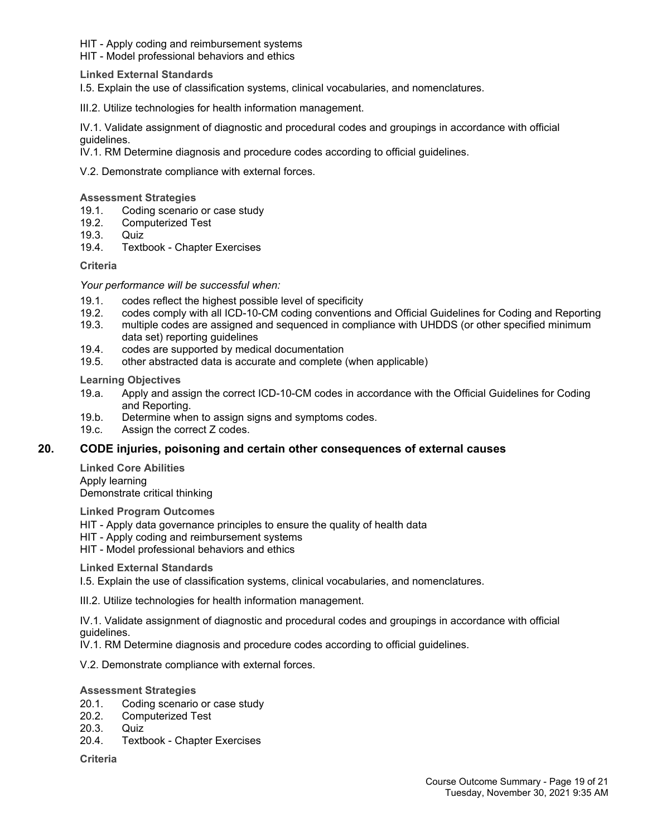HIT - Apply coding and reimbursement systems

HIT - Model professional behaviors and ethics

**Linked External Standards**

I.5. Explain the use of classification systems, clinical vocabularies, and nomenclatures.

III.2. Utilize technologies for health information management.

IV.1. Validate assignment of diagnostic and procedural codes and groupings in accordance with official guidelines.

IV.1. RM Determine diagnosis and procedure codes according to official guidelines.

V.2. Demonstrate compliance with external forces.

**Assessment Strategies**

- 19.1. Coding scenario or case study
- 19.2. Computerized Test
- 19.3. Quiz
- 19.4. Textbook Chapter Exercises

**Criteria**

*Your performance will be successful when:*

- 19.1. codes reflect the highest possible level of specificity<br>19.2. codes comply with all ICD-10-CM coding convention
- 19.2. codes comply with all ICD-10-CM coding conventions and Official Guidelines for Coding and Reporting<br>19.3. multiple codes are assigned and sequenced in compliance with UHDDS (or other specified minimum
- multiple codes are assigned and sequenced in compliance with UHDDS (or other specified minimum data set) reporting guidelines
- 19.4. codes are supported by medical documentation
- 19.5. other abstracted data is accurate and complete (when applicable)

**Learning Objectives**

- 19.a. Apply and assign the correct ICD-10-CM codes in accordance with the Official Guidelines for Coding and Reporting.
- 19.b. Determine when to assign signs and symptoms codes.
- 19.c. Assign the correct Z codes.

#### **20. CODE injuries, poisoning and certain other consequences of external causes**

**Linked Core Abilities** Apply learning Demonstrate critical thinking

**Linked Program Outcomes**

HIT - Apply data governance principles to ensure the quality of health data

- HIT Apply coding and reimbursement systems
- HIT Model professional behaviors and ethics

**Linked External Standards**

I.5. Explain the use of classification systems, clinical vocabularies, and nomenclatures.

III.2. Utilize technologies for health information management.

IV.1. Validate assignment of diagnostic and procedural codes and groupings in accordance with official guidelines.

IV.1. RM Determine diagnosis and procedure codes according to official guidelines.

V.2. Demonstrate compliance with external forces.

#### **Assessment Strategies**

- 20.1. Coding scenario or case study
- 20.2. Computerized Test
- 20.3. Quiz<br>20.4. Textb
- Textbook Chapter Exercises

**Criteria**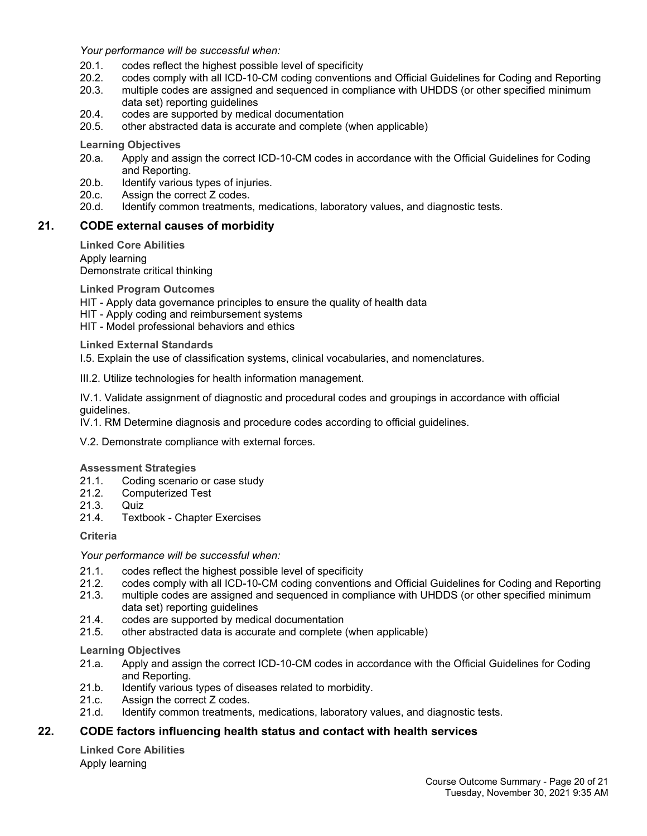*Your performance will be successful when:*

- 20.1. codes reflect the highest possible level of specificity
- 20.2. codes comply with all ICD-10-CM coding conventions and Official Guidelines for Coding and Reporting
- 20.3. multiple codes are assigned and sequenced in compliance with UHDDS (or other specified minimum data set) reporting guidelines
- 20.4. codes are supported by medical documentation
- 20.5. other abstracted data is accurate and complete (when applicable)

**Learning Objectives**

- 20.a. Apply and assign the correct ICD-10-CM codes in accordance with the Official Guidelines for Coding and Reporting.
- 20.b. Identify various types of injuries.
- 20.c. Assign the correct Z codes.
- 20.d. Identify common treatments, medications, laboratory values, and diagnostic tests.

#### **21. CODE external causes of morbidity**

**Linked Core Abilities** Apply learning Demonstrate critical thinking

**Linked Program Outcomes**

- HIT Apply data governance principles to ensure the quality of health data
- HIT Apply coding and reimbursement systems
- HIT Model professional behaviors and ethics

**Linked External Standards**

I.5. Explain the use of classification systems, clinical vocabularies, and nomenclatures.

III.2. Utilize technologies for health information management.

IV.1. Validate assignment of diagnostic and procedural codes and groupings in accordance with official guidelines.

IV.1. RM Determine diagnosis and procedure codes according to official guidelines.

V.2. Demonstrate compliance with external forces.

#### **Assessment Strategies**

- 21.1. Coding scenario or case study
- 21.2. Computerized Test
- 21.3. Quiz
- 21.4. Textbook Chapter Exercises

**Criteria**

*Your performance will be successful when:*

- 21.1. codes reflect the highest possible level of specificity
- 21.2. codes comply with all ICD-10-CM coding conventions and Official Guidelines for Coding and Reporting
- 21.3. multiple codes are assigned and sequenced in compliance with UHDDS (or other specified minimum data set) reporting quidelines
- 21.4. codes are supported by medical documentation
- 21.5. other abstracted data is accurate and complete (when applicable)

**Learning Objectives**

- 21.a. Apply and assign the correct ICD-10-CM codes in accordance with the Official Guidelines for Coding and Reporting.
- 21.b. Identify various types of diseases related to morbidity.
- 21.c. Assign the correct Z codes.
- 21.d. Identify common treatments, medications, laboratory values, and diagnostic tests.

#### **22. CODE factors influencing health status and contact with health services**

**Linked Core Abilities** Apply learning